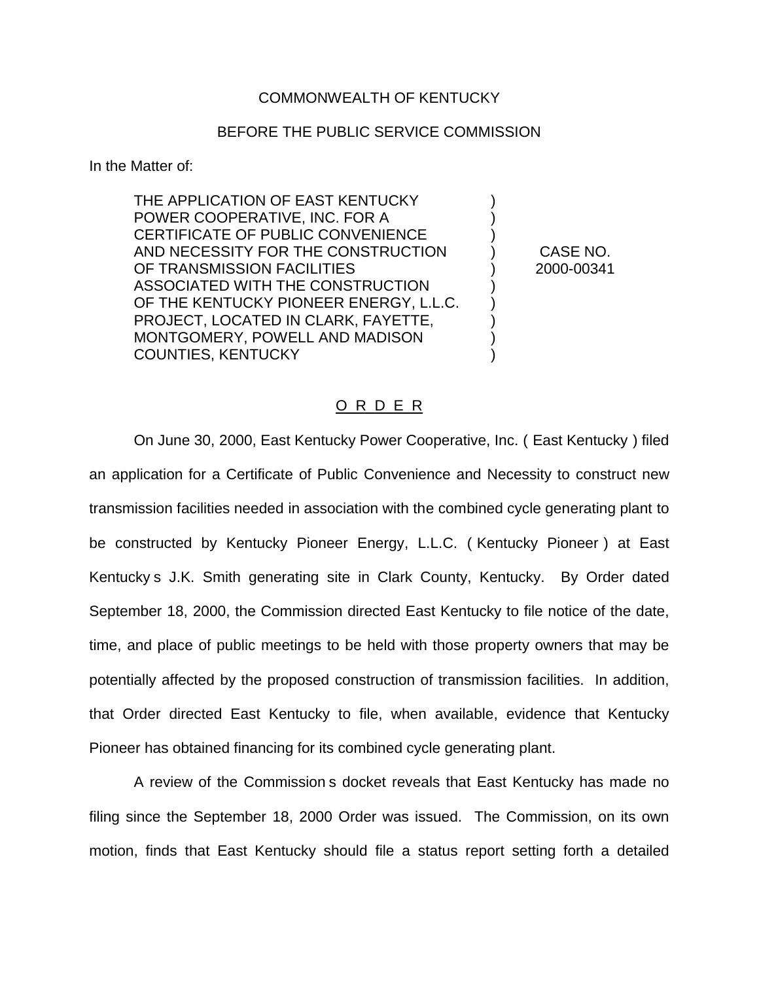## COMMONWEALTH OF KENTUCKY

## BEFORE THE PUBLIC SERVICE COMMISSION

In the Matter of:

THE APPLICATION OF EAST KENTUCKY POWER COOPERATIVE, INC. FOR A ) CERTIFICATE OF PUBLIC CONVENIENCE AND NECESSITY FOR THE CONSTRUCTION ) CASE NO. OF TRANSMISSION FACILITIES ) 2000-00341 ASSOCIATED WITH THE CONSTRUCTION ) OF THE KENTUCKY PIONEER ENERGY, L.L.C. PROJECT, LOCATED IN CLARK, FAYETTE, MONTGOMERY, POWELL AND MADISON ) COUNTIES, KENTUCKY )

## O R D E R

On June 30, 2000, East Kentucky Power Cooperative, Inc. ( East Kentucky ) filed an application for a Certificate of Public Convenience and Necessity to construct new transmission facilities needed in association with the combined cycle generating plant to be constructed by Kentucky Pioneer Energy, L.L.C. ( Kentucky Pioneer ) at East Kentucky s J.K. Smith generating site in Clark County, Kentucky. By Order dated September 18, 2000, the Commission directed East Kentucky to file notice of the date, time, and place of public meetings to be held with those property owners that may be potentially affected by the proposed construction of transmission facilities. In addition, that Order directed East Kentucky to file, when available, evidence that Kentucky Pioneer has obtained financing for its combined cycle generating plant.

A review of the Commission s docket reveals that East Kentucky has made no filing since the September 18, 2000 Order was issued. The Commission, on its own motion, finds that East Kentucky should file a status report setting forth a detailed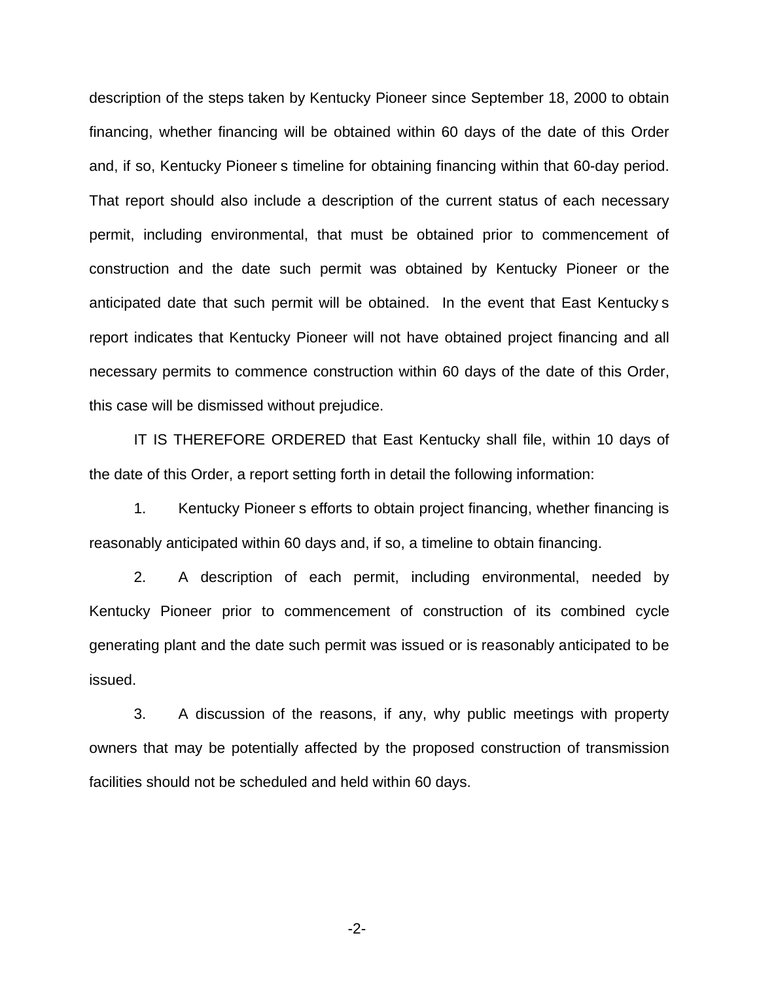description of the steps taken by Kentucky Pioneer since September 18, 2000 to obtain financing, whether financing will be obtained within 60 days of the date of this Order and, if so, Kentucky Pioneer s timeline for obtaining financing within that 60-day period. That report should also include a description of the current status of each necessary permit, including environmental, that must be obtained prior to commencement of construction and the date such permit was obtained by Kentucky Pioneer or the anticipated date that such permit will be obtained. In the event that East Kentucky s report indicates that Kentucky Pioneer will not have obtained project financing and all necessary permits to commence construction within 60 days of the date of this Order, this case will be dismissed without prejudice.

IT IS THEREFORE ORDERED that East Kentucky shall file, within 10 days of the date of this Order, a report setting forth in detail the following information:

1. Kentucky Pioneer s efforts to obtain project financing, whether financing is reasonably anticipated within 60 days and, if so, a timeline to obtain financing.

2. A description of each permit, including environmental, needed by Kentucky Pioneer prior to commencement of construction of its combined cycle generating plant and the date such permit was issued or is reasonably anticipated to be issued.

3. A discussion of the reasons, if any, why public meetings with property owners that may be potentially affected by the proposed construction of transmission facilities should not be scheduled and held within 60 days.

-2-